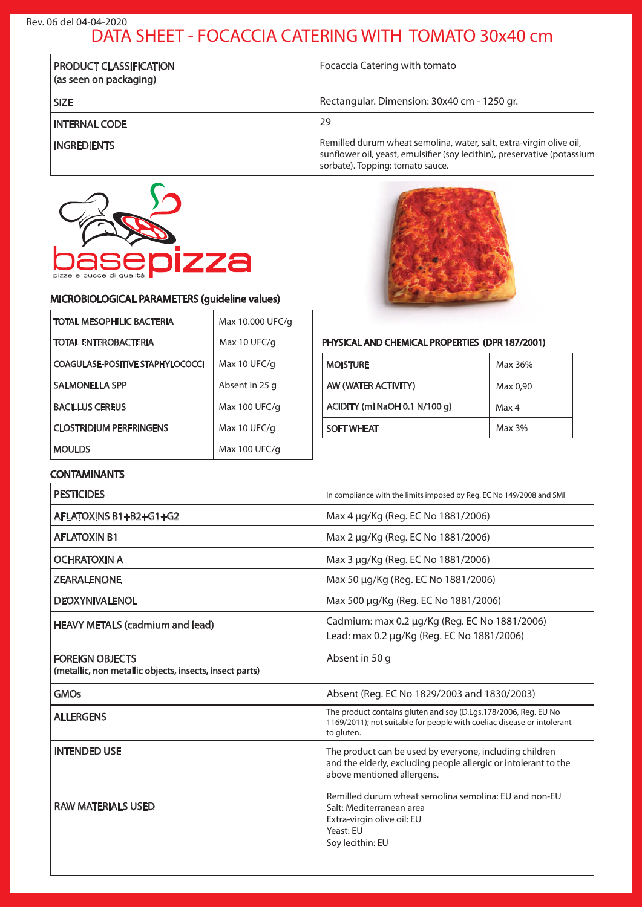## DATA SHEET - FOCACCIA CATERING WITH TOMATO 30x40 cm Rev. 06 del 04-04-2020

| <b>PRODUCT CLASSIFICATION</b><br>(as seen on packaging) | Focaccia Catering with tomato                                                                                                                                                       |
|---------------------------------------------------------|-------------------------------------------------------------------------------------------------------------------------------------------------------------------------------------|
| <b>SIZE</b>                                             | Rectangular. Dimension: 30x40 cm - 1250 gr.                                                                                                                                         |
| <b>INTERNAL CODE</b>                                    | 29                                                                                                                                                                                  |
| <b>INGREDIENTS</b>                                      | Remilled durum wheat semolina, water, salt, extra-virgin olive oil,<br>sunflower oil, yeast, emulsifier (soy lecithin), preservative (potassium<br>sorbate). Topping: tomato sauce. |



### MICROBIOLOGICAL PARAMETERS (guideline values)

| <b>TOTAL MESOPHILIC BACTERIA</b>        | Max 10.000 UFC/g |
|-----------------------------------------|------------------|
| <b>TOTAL ENTEROBACTERIA</b>             | Max 10 UFC/g     |
| <b>COAGULASE-POSITIVE STAPHYLOCOCCI</b> | Max 10 UFC/g     |
| <b>SALMONELLA SPP</b>                   | Absent in 25 g   |
| <b>BACILLUS CEREUS</b>                  | Max 100 UFC/g    |
| <b>CLOSTRIDIUM PERFRINGENS</b>          | Max 10 UFC/g     |
| <b>MOULDS</b>                           | Max 100 UFC/g    |

## PHYSICAL AND CHEMICAL PROPERTIES (DPR 187/2001)

| <b>MOISTURE</b>               | Max 36%  |
|-------------------------------|----------|
| AW (WATER ACTIVITY)           | Max 0,90 |
| ACIDITY (ml NaOH 0.1 N/100 g) | Max 4    |
| <b>SOFT WHEAT</b>             | Max 3%   |

## **CONTAMINANTS**

| <b>PESTICIDES</b>                                                                 | In compliance with the limits imposed by Reg. EC No 149/2008 and SMI                                                                                     |
|-----------------------------------------------------------------------------------|----------------------------------------------------------------------------------------------------------------------------------------------------------|
| AFLATOXINS B1+B2+G1+G2                                                            | Max 4 µg/Kg (Reg. EC No 1881/2006)                                                                                                                       |
| <b>AFLATOXIN B1</b>                                                               | Max 2 µg/Kg (Reg. EC No 1881/2006)                                                                                                                       |
| <b>OCHRATOXIN A</b>                                                               | Max 3 µg/Kg (Reg. EC No 1881/2006)                                                                                                                       |
| <b>ZEARALENONE</b>                                                                | Max 50 µg/Kg (Reg. EC No 1881/2006)                                                                                                                      |
| <b>DEOXYNIVALENOL</b>                                                             | Max 500 µg/Kg (Reg. EC No 1881/2006)                                                                                                                     |
| <b>HEAVY METALS (cadmium and lead)</b>                                            | Cadmium: max 0.2 µg/Kg (Reg. EC No 1881/2006)<br>Lead: max 0.2 µg/Kg (Reg. EC No 1881/2006)                                                              |
| <b>FOREIGN OBJECTS</b><br>(metallic, non metallic objects, insects, insect parts) | Absent in 50 g                                                                                                                                           |
| <b>GMOs</b>                                                                       | Absent (Reg. EC No 1829/2003 and 1830/2003)                                                                                                              |
| <b>ALLERGENS</b>                                                                  | The product contains gluten and soy (D.Lgs.178/2006, Reg. EU No<br>1169/2011); not suitable for people with coeliac disease or intolerant<br>to gluten.  |
| <b>INTENDED USE</b>                                                               | The product can be used by everyone, including children<br>and the elderly, excluding people allergic or intolerant to the<br>above mentioned allergens. |
| <b>RAW MATERIALS USED</b>                                                         | Remilled durum wheat semolina semolina: EU and non-EU<br>Salt: Mediterranean area<br>Extra-virgin olive oil: EU<br>Yeast: EU<br>Soy lecithin: EU         |